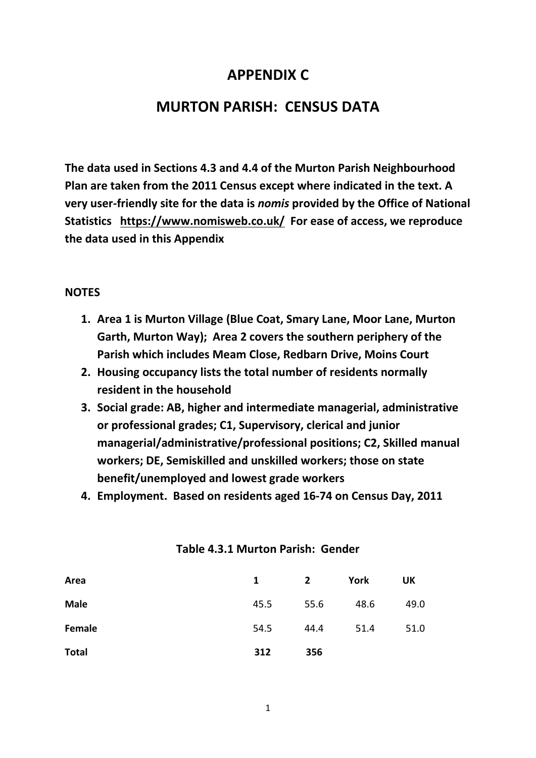## **APPENDIX C**

## **MURTON PARISH: CENSUS DATA**

**The data used in Sections 4.3 and 4.4 of the Murton Parish Neighbourhood Plan are taken from the 2011 Census except where indicated in the text. A very user-friendly site for the data is** *nomis* **provided by the Office of National Statistics <https://www.nomisweb.co.uk/>For ease of access, we reproduce the data used in this Appendix**

#### **NOTES**

- **1. Area 1 is Murton Village (Blue Coat, Smary Lane, Moor Lane, Murton Garth, Murton Way); Area 2 covers the southern periphery of the Parish which includes Meam Close, Redbarn Drive, Moins Court**
- **2. Housing occupancy lists the total number of residents normally resident in the household**
- **3. Social grade: AB, higher and intermediate managerial, administrative or professional grades; C1, Supervisory, clerical and junior managerial/administrative/professional positions; C2, Skilled manual workers; DE, Semiskilled and unskilled workers; those on state benefit/unemployed and lowest grade workers**
- **4. Employment. Based on residents aged 16-74 on Census Day, 2011**

| Area          | $\mathbf{1}$ | $\mathbf{2}$ | York | UK   |
|---------------|--------------|--------------|------|------|
| <b>Male</b>   | 45.5         | 55.6         | 48.6 | 49.0 |
| <b>Female</b> | 54.5         | 44.4         | 51.4 | 51.0 |
| <b>Total</b>  | 312          | 356          |      |      |

#### **Table 4.3.1 Murton Parish: Gender**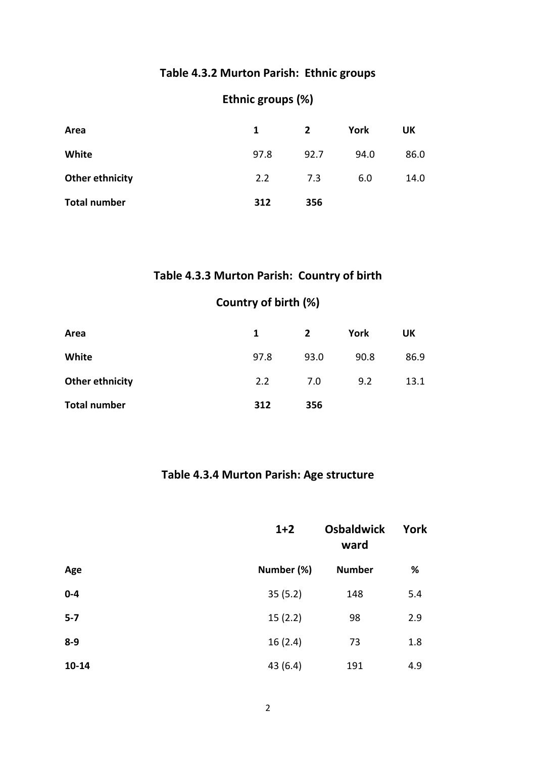#### **Table 4.3.2 Murton Parish: Ethnic groups**

## **Ethnic groups (%)**

| Area                | 1    | $\mathbf{2}$ | York | UK   |
|---------------------|------|--------------|------|------|
| White               | 97.8 | 92.7         | 94.0 | 86.0 |
| Other ethnicity     | 2.2  | 7.3          | 6.0  | 14.0 |
| <b>Total number</b> | 312  | 356          |      |      |

## **Table 4.3.3 Murton Parish: Country of birth**

## **Country of birth (%)**

| Area                | 1    | 2    | York | UK   |
|---------------------|------|------|------|------|
| White               | 97.8 | 93.0 | 90.8 | 86.9 |
| Other ethnicity     | 2.2  | 7.0  | 9.2  | 13.1 |
| <b>Total number</b> | 312  | 356  |      |      |

#### **Table 4.3.4 Murton Parish: Age structure**

|           | $1+2$      | <b>Osbaldwick</b><br>ward | York |
|-----------|------------|---------------------------|------|
| Age       | Number (%) | <b>Number</b>             | %    |
| $0-4$     | 35(5.2)    | 148                       | 5.4  |
| $5 - 7$   | 15(2.2)    | 98                        | 2.9  |
| $8-9$     | 16(2.4)    | 73                        | 1.8  |
| $10 - 14$ | 43 (6.4)   | 191                       | 4.9  |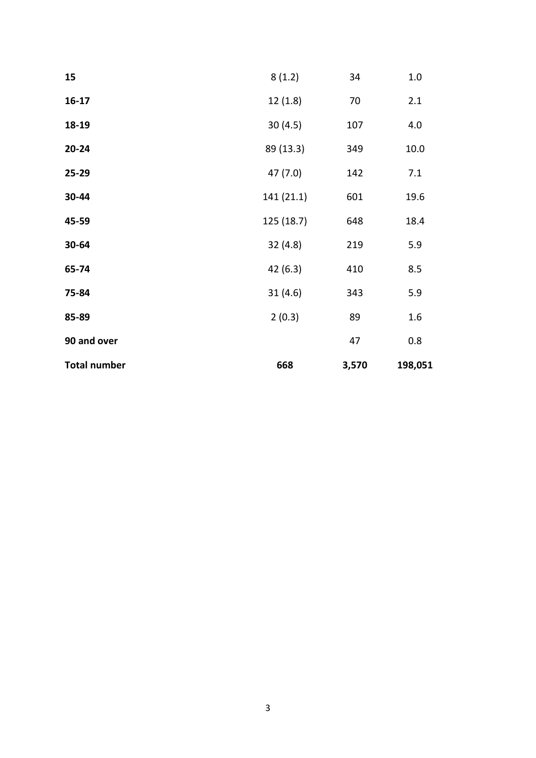| <b>Total number</b> | 668        | 3,570 | 198,051 |
|---------------------|------------|-------|---------|
| 90 and over         |            | 47    | 0.8     |
| 85-89               | 2(0.3)     | 89    | 1.6     |
| 75-84               | 31(4.6)    | 343   | 5.9     |
| 65-74               | 42 (6.3)   | 410   | 8.5     |
| 30-64               | 32(4.8)    | 219   | 5.9     |
| 45-59               | 125 (18.7) | 648   | 18.4    |
| 30-44               | 141 (21.1) | 601   | 19.6    |
| 25-29               | 47(7.0)    | 142   | 7.1     |
| $20 - 24$           | 89 (13.3)  | 349   | 10.0    |
| 18-19               | 30(4.5)    | 107   | 4.0     |
| $16-17$             | 12(1.8)    | 70    | 2.1     |
| 15                  | 8(1.2)     | 34    | 1.0     |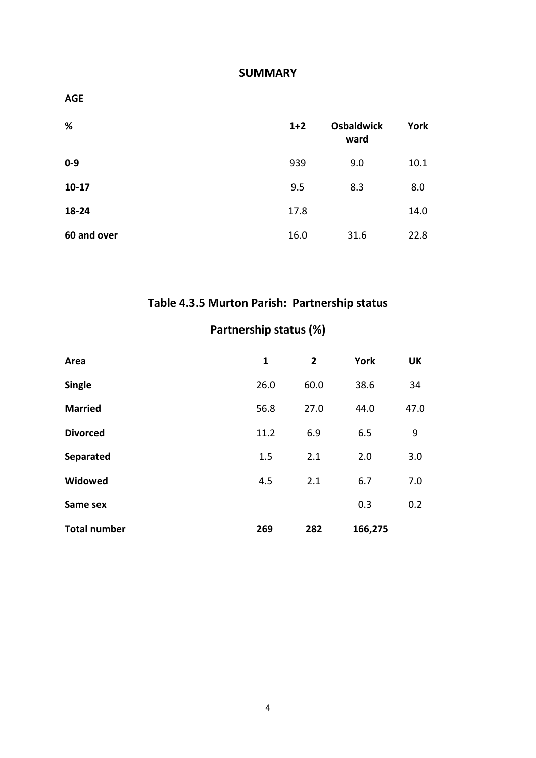#### **SUMMARY**

| <b>AGE</b>  |       |                           |      |
|-------------|-------|---------------------------|------|
| %           | $1+2$ | <b>Osbaldwick</b><br>ward | York |
| $0 - 9$     | 939   | 9.0                       | 10.1 |
| $10-17$     | 9.5   | 8.3                       | 8.0  |
| 18-24       | 17.8  |                           | 14.0 |
| 60 and over | 16.0  | 31.6                      | 22.8 |

# **Table 4.3.5 Murton Parish: Partnership status**

## **Partnership status (%)**

| Area                | 1    | $\overline{2}$ | <b>York</b> | <b>UK</b> |
|---------------------|------|----------------|-------------|-----------|
| <b>Single</b>       | 26.0 | 60.0           | 38.6        | 34        |
| <b>Married</b>      | 56.8 | 27.0           | 44.0        | 47.0      |
| <b>Divorced</b>     | 11.2 | 6.9            | 6.5         | 9         |
| Separated           | 1.5  | 2.1            | 2.0         | 3.0       |
| Widowed             | 4.5  | 2.1            | 6.7         | 7.0       |
| Same sex            |      |                | 0.3         | 0.2       |
| <b>Total number</b> | 269  | 282            | 166,275     |           |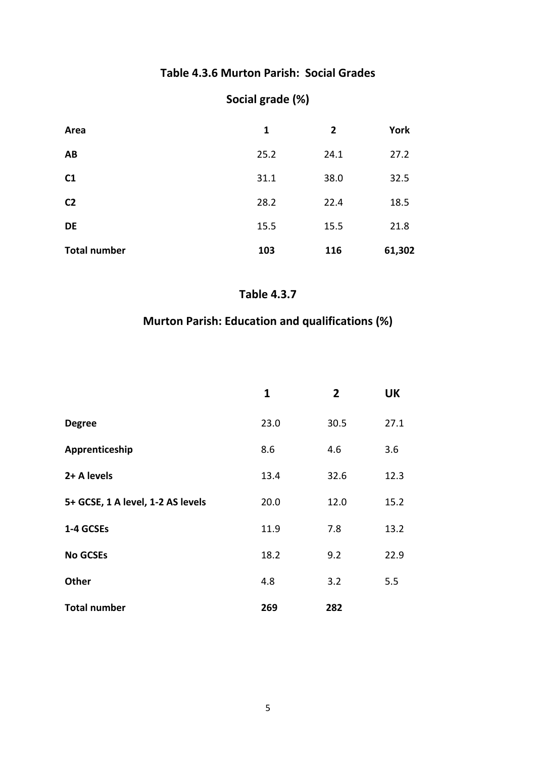#### **Table 4.3.6 Murton Parish: Social Grades**

## **Social grade (%)**

| Area                | 1    | $\mathbf{2}$ | York   |
|---------------------|------|--------------|--------|
| AB                  | 25.2 | 24.1         | 27.2   |
| C1                  | 31.1 | 38.0         | 32.5   |
| C <sub>2</sub>      | 28.2 | 22.4         | 18.5   |
| <b>DE</b>           | 15.5 | 15.5         | 21.8   |
| <b>Total number</b> | 103  | 116          | 61,302 |

#### **Table 4.3.7**

## **Murton Parish: Education and qualifications (%)**

|                                   | 1    | $\overline{2}$ | <b>UK</b> |
|-----------------------------------|------|----------------|-----------|
| <b>Degree</b>                     | 23.0 | 30.5           | 27.1      |
| Apprenticeship                    | 8.6  | 4.6            | 3.6       |
| 2+ A levels                       | 13.4 | 32.6           | 12.3      |
| 5+ GCSE, 1 A level, 1-2 AS levels | 20.0 | 12.0           | 15.2      |
| 1-4 GCSEs                         | 11.9 | 7.8            | 13.2      |
| <b>No GCSEs</b>                   | 18.2 | 9.2            | 22.9      |
| <b>Other</b>                      | 4.8  | 3.2            | 5.5       |
| <b>Total number</b>               | 269  | 282            |           |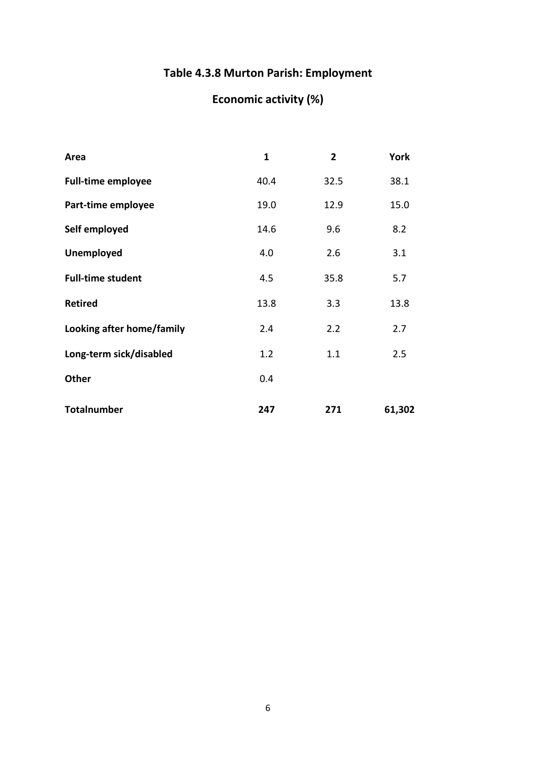## **Table 4.3.8 Murton Parish: Employment**

# **Economic activity (%)**

| Area                      | $\mathbf{1}$ | $\overline{2}$ | <b>York</b> |
|---------------------------|--------------|----------------|-------------|
| <b>Full-time employee</b> | 40.4         | 32.5           | 38.1        |
| Part-time employee        | 19.0         | 12.9           | 15.0        |
| Self employed             | 14.6         | 9.6            | 8.2         |
| <b>Unemployed</b>         | 4.0          | 2.6            | 3.1         |
| <b>Full-time student</b>  | 4.5          | 35.8           | 5.7         |
| <b>Retired</b>            | 13.8         | 3.3            | 13.8        |
| Looking after home/family | 2.4          | 2.2            | 2.7         |
| Long-term sick/disabled   | 1.2          | 1.1            | 2.5         |
| <b>Other</b>              | 0.4          |                |             |
| <b>Totalnumber</b>        | 247          | 271            | 61,302      |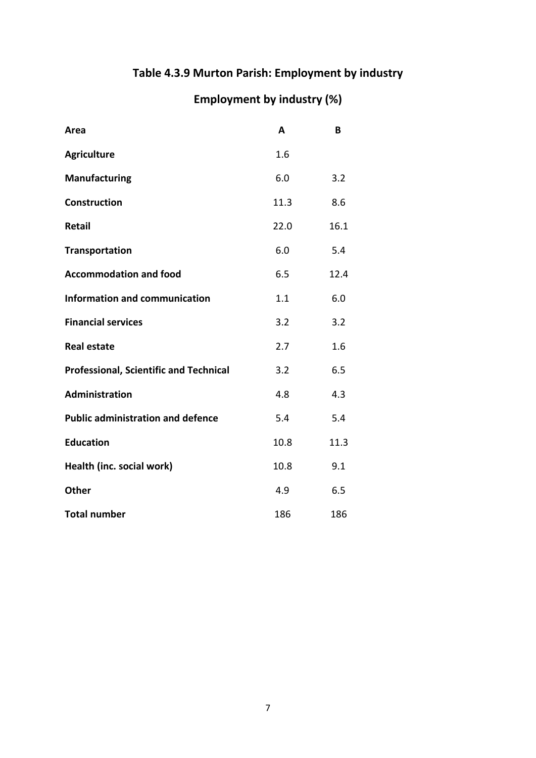## **Table 4.3.9 Murton Parish: Employment by industry**

# **Employment by industry (%)**

| Area                                          | A    | B    |
|-----------------------------------------------|------|------|
| <b>Agriculture</b>                            | 1.6  |      |
| <b>Manufacturing</b>                          | 6.0  | 3.2  |
| <b>Construction</b>                           | 11.3 | 8.6  |
| Retail                                        | 22.0 | 16.1 |
| <b>Transportation</b>                         | 6.0  | 5.4  |
| <b>Accommodation and food</b>                 | 6.5  | 12.4 |
| <b>Information and communication</b>          | 1.1  | 6.0  |
| <b>Financial services</b>                     | 3.2  | 3.2  |
| <b>Real estate</b>                            | 2.7  | 1.6  |
| <b>Professional, Scientific and Technical</b> | 3.2  | 6.5  |
| Administration                                | 4.8  | 4.3  |
| <b>Public administration and defence</b>      | 5.4  | 5.4  |
| <b>Education</b>                              | 10.8 | 11.3 |
| Health (inc. social work)                     | 10.8 | 9.1  |
| <b>Other</b>                                  | 4.9  | 6.5  |
| <b>Total number</b>                           | 186  | 186  |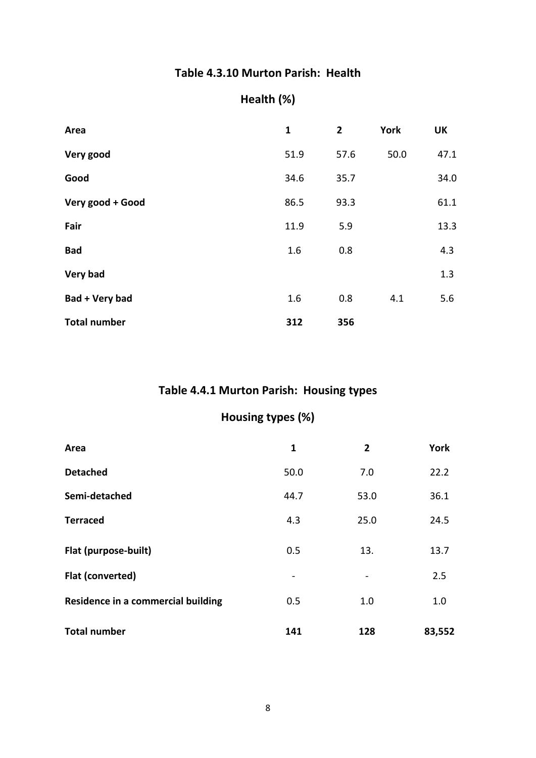#### **Table 4.3.10 Murton Parish: Health**

## **Health (%)**

| Area                | $\mathbf{1}$ | $\mathbf{2}$ | <b>York</b> | <b>UK</b> |
|---------------------|--------------|--------------|-------------|-----------|
| Very good           | 51.9         | 57.6         | 50.0        | 47.1      |
| Good                | 34.6         | 35.7         |             | 34.0      |
| Very good + Good    | 86.5         | 93.3         |             | 61.1      |
| Fair                | 11.9         | 5.9          |             | 13.3      |
| <b>Bad</b>          | 1.6          | 0.8          |             | 4.3       |
| Very bad            |              |              |             | 1.3       |
| Bad + Very bad      | 1.6          | 0.8          | 4.1         | 5.6       |
| <b>Total number</b> | 312          | 356          |             |           |

#### **Table 4.4.1 Murton Parish: Housing types**

## **Housing types (%)**

| Area                               | $\mathbf{1}$ | $\overline{2}$ | York   |
|------------------------------------|--------------|----------------|--------|
| <b>Detached</b>                    | 50.0         | 7.0            | 22.2   |
| Semi-detached                      | 44.7         | 53.0           | 36.1   |
| <b>Terraced</b>                    | 4.3          | 25.0           | 24.5   |
| Flat (purpose-built)               | 0.5          | 13.            | 13.7   |
| Flat (converted)                   |              |                | 2.5    |
| Residence in a commercial building | 0.5          | 1.0            | 1.0    |
| <b>Total number</b>                | 141          | 128            | 83,552 |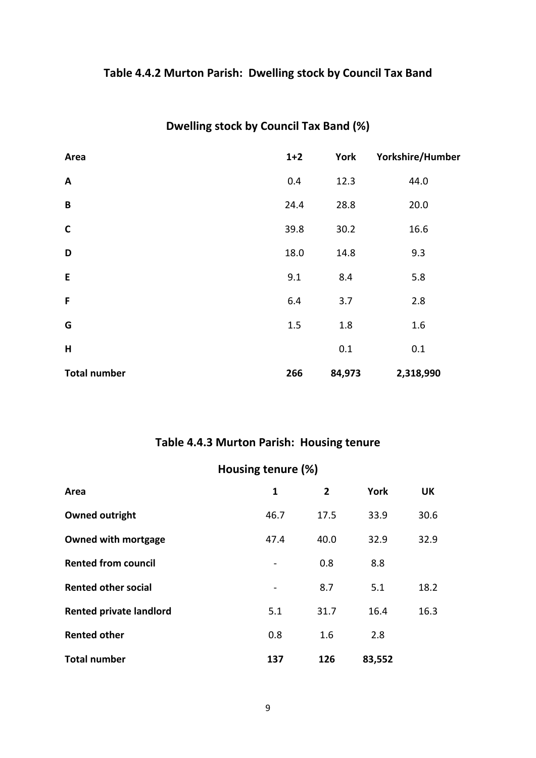## **Table 4.4.2 Murton Parish: Dwelling stock by Council Tax Band**

| Area                | $1+2$ | York   | Yorkshire/Humber |
|---------------------|-------|--------|------------------|
| $\mathbf{A}$        | 0.4   | 12.3   | 44.0             |
| B                   | 24.4  | 28.8   | 20.0             |
| $\mathsf C$         | 39.8  | 30.2   | 16.6             |
| D                   | 18.0  | 14.8   | 9.3              |
| E                   | 9.1   | 8.4    | 5.8              |
| $\mathsf{F}$        | 6.4   | 3.7    | 2.8              |
| G                   | 1.5   | 1.8    | 1.6              |
| H                   |       | 0.1    | 0.1              |
| <b>Total number</b> | 266   | 84,973 | 2,318,990        |

## **Dwelling stock by Council Tax Band (%)**

## **Table 4.4.3 Murton Parish: Housing tenure**

| Housing tenure (%)             |      |      |             |           |  |
|--------------------------------|------|------|-------------|-----------|--|
| Area                           | 1    | 2    | <b>York</b> | <b>UK</b> |  |
| <b>Owned outright</b>          | 46.7 | 17.5 | 33.9        | 30.6      |  |
| <b>Owned with mortgage</b>     | 47.4 | 40.0 | 32.9        | 32.9      |  |
| <b>Rented from council</b>     |      | 0.8  | 8.8         |           |  |
| <b>Rented other social</b>     |      | 8.7  | 5.1         | 18.2      |  |
| <b>Rented private landlord</b> | 5.1  | 31.7 | 16.4        | 16.3      |  |
| <b>Rented other</b>            | 0.8  | 1.6  | 2.8         |           |  |
| <b>Total number</b>            | 137  | 126  | 83,552      |           |  |